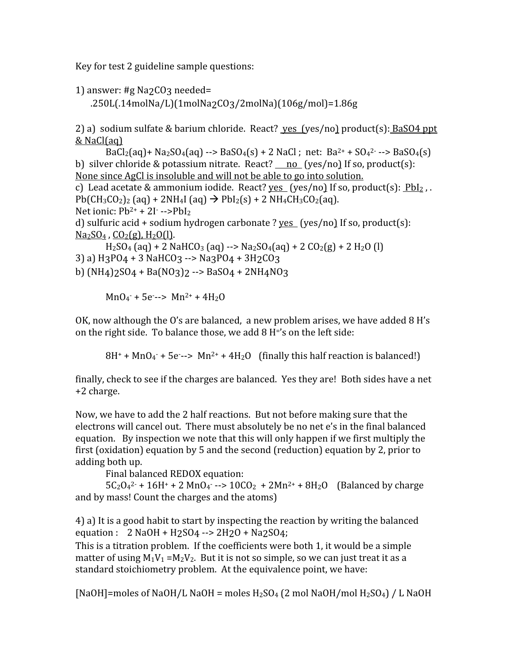Key
for
test
2
guideline
sample
questions:

```
1)
answer:
#g
Na2CO3
needed=
```
.250L(.14molNa/L)(1molNa2CO3/2molNa)(106g/mol)=1.86g

2) a) sodium sulfate & barium chloride. React? yes (yes/no) product(s): BaSO4 ppt &
NaCl(aq)

 $BaCl<sub>2</sub>(aq) + Na<sub>2</sub>SO<sub>4</sub>(aq) --> BaSO<sub>4</sub>(s) + 2 NaCl$ ; net:  $Ba<sup>2+</sup> + SO<sub>4</sub><sup>2-</sup> --> BaSO<sub>4</sub>(s)$ b) silver chloride & potassium nitrate. React?  $\frac{no}{\cos/no}$  If so, product(s): None since AgCl is insoluble and will not be able to go into solution. c) Lead acetate & ammonium iodide. React?  $ves (yes/no)$  If so, product(s):  $Pbl_2$ ,.</u>  $Pb(CH_3CO_2)_2$  (aq) + 2NH<sub>4</sub>I (aq)  $\rightarrow$   $PbI_2(s)$  + 2 NH<sub>4</sub>CH<sub>3</sub>CO<sub>2</sub>(aq). Net ionic:  $Pb^{2+} + 2I^{-} \rightarrow PbI_2$ d) sulfuric acid + sodium hydrogen carbonate ? yes (yes/no) If so, product(s):  $Na<sub>2</sub>SO<sub>4</sub>$ ,  $CO<sub>2</sub>(g)$ ,  $H<sub>2</sub>O(l)$ .  $H_2SO_4$  (aq) + 2 NaHCO<sub>3</sub> (aq) --> Na<sub>2</sub>SO<sub>4</sub>(aq) + 2 CO<sub>2</sub>(g) + 2 H<sub>2</sub>O (l) 3) a)  $H_3P04 + 3 NAHCO3 \rightarrow Na3PO4 + 3H_2CO3$ b)  $(NH_4)2SO_4 + Ba(NO_3)2 \rightarrow BaSO_4 + 2NH_4NO_3$ 

 $MnO<sub>4</sub> + 5e--> Mn<sup>2+</sup> + 4H<sub>2</sub>O$ 

OK, now although the O's are balanced, a new problem arises, we have added 8 H's on
the
right
side.

To
balance
those,
we
add
8
H='s
on
the
left
side:

 $8H^+$  + MnO<sub>4</sub><sup>-</sup> + 5e --> Mn<sup>2+</sup> + 4H<sub>2</sub>O (finally this half reaction is balanced!)

finally, check to see if the charges are balanced. Yes they are! Both sides have a net +2
charge.

Now, we have to add the 2 half reactions. But not before making sure that the electrons
will
cancel
out.

There
must
absolutely
be
no
net
e's
in
the
final
balanced equation. By inspection we note that this will only happen if we first multiply the first (oxidation) equation by 5 and the second (reduction) equation by 2, prior to adding
both
up.

Final
balanced
REDOX
equation:

 $5C_2O_4^2$  + 16H + 2 MnO<sub>4</sub> --> 10CO<sub>2</sub> + 2Mn<sup>2+</sup> + 8H<sub>2</sub>O (Balanced by charge and
by
mass!
Count
the
charges
and
the
atoms)

4)
a)
It
is
a
good
habit
to
start
by
inspecting
the
reaction
by
writing
the
balanced equation:  $2 \text{ NaOH} + \text{H2SO4} \rightarrow 2\text{H2O} + \text{Na2SO4}$ ;

This is a titration problem. If the coefficients were both 1, it would be a simple matter of using  $M_1V_1 = M_2V_2$ . But it is not so simple, so we can just treat it as a standard
stoichiometry
problem.

At
the
equivalence
point,
we
have:

[NaOH]=moles of NaOH/L NaOH = moles  $H_2SO_4$  (2 mol NaOH/mol  $H_2SO_4$ ) / L NaOH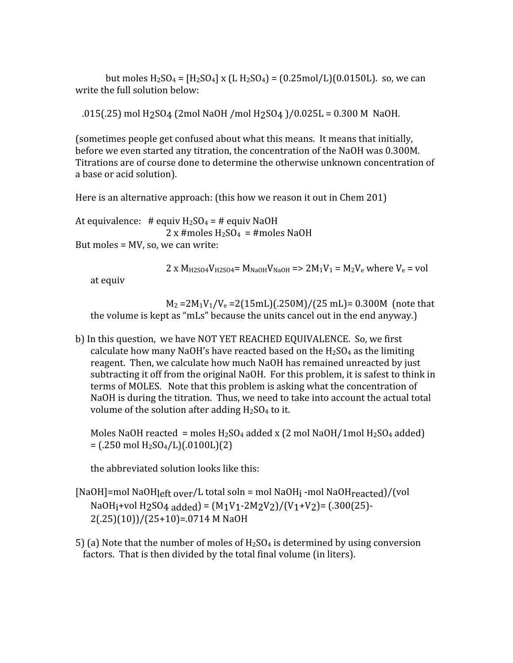but moles  $H_2SO_4 = [H_2SO_4] \times (L H_2SO_4) = (0.25 \text{mol/L})(0.0150L)$ . so, we can write the full solution below:

.015(.25)
mol
H2SO4
(2mol
NaOH
/mol
H2SO4
)/0.025L
=
0.300
M

NaOH.

(sometimes
people
get
confused
about
what
this
means.

It
means
that
initially, before we even started any titration, the concentration of the NaOH was 0.300M. Titrations are of course done to determine the otherwise unknown concentration of a
base
or
acid
solution).

Here is an alternative approach: (this how we reason it out in Chem 201)

At equivalence:  $\#$  equiv  $H_2SO_4 = \#$  equiv NaOH  $2 \times$  #moles H<sub>2</sub>SO<sub>4</sub> = #moles NaOH But
moles
=
MV,
so,
we
can
write:

 $2 \times M_{H2SO4}V_{H2SO4} = M_{NaOH}V_{NaOH}$  =>  $2M_1V_1 = M_2V_e$  where  $V_e$  = vol

at
equiv

 $M_2 = 2M_1V_1/V_e = 2(15mL)(.250M)/(25mL) = 0.300M$  (note that the
volume
is
kept
as
"mLs"
because
the
units
cancel
out
in
the
end
anyway.)

b) In this question, we have NOT YET REACHED EQUIVALENCE. So, we first calculate how many NaOH's have reacted based on the  $H_2SO_4$  as the limiting reagent. Then, we calculate how much NaOH has remained unreacted by just subtracting it off from the original NaOH. For this problem, it is safest to think in terms of MOLES. Note that this problem is asking what the concentration of NaOH is during the titration. Thus, we need to take into account the actual total volume of the solution after adding  $H_2SO_4$  to it.

Moles NaOH reacted = moles  $H_2SO_4$  added x (2 mol NaOH/1mol  $H_2SO_4$  added)  $=$  (.250 mol H<sub>2</sub>SO<sub>4</sub>/L)(.0100L)(2)

the
abbreviated
solution
looks
like
this:

[NaOH]=mol NaOH<sub>left over</sub>/L total soln = mol NaOH<sub>i</sub> -mol NaOH<sub>reacted</sub>]/(vol NaOH<sub>1</sub>+vol H<sub>2</sub>SO<sub>4</sub> added) =  $(M_1V_1$ -2M<sub>2</sub>V<sub>2</sub>)/(V<sub>1</sub>+V<sub>2</sub>) = (.300(25)- $2(.25)(10)/(25+10)=0714$  M NaOH

5) (a) Note that the number of moles of  $H_2SO_4$  is determined by using conversion factors. That is then divided by the total final volume (in liters).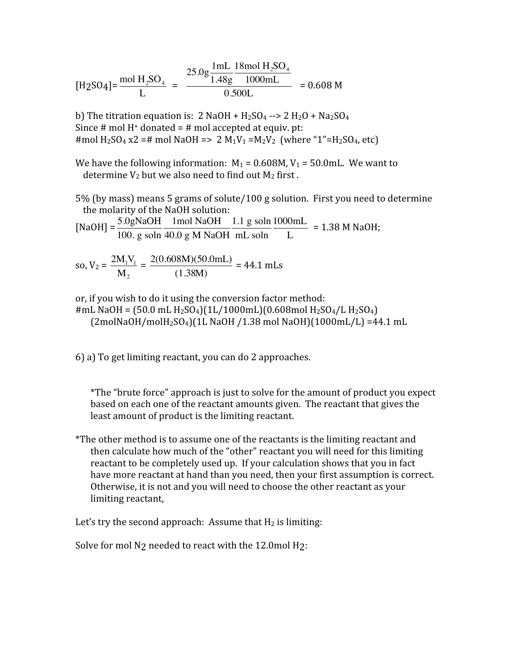$$
[\text{H2SO4}] = \frac{\text{mol H}_2 \text{SO}_4}{L} = \frac{25.0 \text{g} \frac{1 \text{m} L}{1.48 \text{g}} \frac{18 \text{mol H}_2 \text{SO}_4}{1000 \text{m} L}}{0.500 \text{L}} = 0.608 \text{ M}
$$

 $\frac{1}{2}$  =H  $\frac{1}{2}$  =H  $\frac{1}{2}$  =H  $\frac{1}{2}$  M<sub>1</sub>V<sub>1</sub> =M<sub>2</sub>V<sub>2</sub> (where "1"=H<sub>2</sub>SO<sub>4</sub>, etc) b) The titration equation is:  $2$  NaOH + H<sub>2</sub>SO<sub>4</sub> -->  $2$  H<sub>2</sub>O + Na<sub>2</sub>SO<sub>4</sub> Since # mol  $H^+$  donated = # mol accepted at equiv. pt:

We have the following information:  $M_1 = 0.608M$ ,  $V_1 = 50.0$ mL. We want to determine  $V_2$  but we also need to find out  $M_2$  first.

5%
(by
mass)
means
5
grams
of
solute/100
g
solution.

First
you
need
to
determine the
molarity
of
the
NaOH
solution:

 $[NaOH] = \frac{5.0gNaOH}{1.0gNaOH}$ 100. g soln 1mol NaOH 40.0 g M NaOH 1.1 g soln mL soln 1000mL L =
1.38
M
NaOH;

so, 
$$
V_2 = \frac{2M_1V_1}{M_2} = \frac{2(0.608M)(50.0mL)}{(1.38M)} = 44.1 \text{ mLs}
$$

or,
if
you
wish
to
do
it
using
the
conversion
factor
method:

 $(2 \text{molNaOH/molH}_2\text{SO}_4)(1\text{L NaOH}/1.38 \text{ mol NaOH})(1000 \text{mL/L}) = 44.1 \text{ mL}$ #mL NaOH =  $(50.0 \text{ mL H}_2\text{SO}_4)(1\text{L}/1000\text{mL})(0.608\text{mol H}_2\text{SO}_4/\text{L H}_2\text{SO}_4)$ 

6)
a)
To
get
limiting
reactant,
you
can
do
2
approaches.

\*The
"brute
force"
approach
is
just
to
solve
for
the
amount
of
product
you
expect based on each one of the reactant amounts given. The reactant that gives the least
amount
of
product
is
the
limiting
reactant.

\*The other method is to assume one of the reactants is the limiting reactant and then calculate how much of the "other" reactant you will need for this limiting reactant to be completely used up. If your calculation shows that you in fact have more reactant at hand than you need, then your first assumption is correct. Otherwise, it is not and you will need to choose the other reactant as your limiting
reactant,

Let's try the second approach: Assume that  $H_2$  is limiting:

Solve for mol N<sub>2</sub> needed to react with the 12.0mol H<sub>2</sub>: